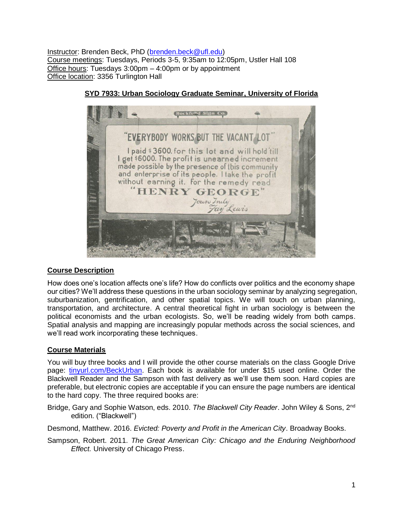Instructor: Brenden Beck, PhD [\(brenden.beck@ufl.edu\)](mailto:brenden.beck@ufl.edu) Course meetings: Tuesdays, Periods 3-5, 9:35am to 12:05pm, Ustler Hall 108 Office hours: Tuesdays 3:00pm – 4:00pm or by appointment Office location: 3356 Turlington Hall



# **SYD 7933: Urban Sociology Graduate Seminar, University of Florida**

# **Course Description**

How does one's location affects one's life? How do conflicts over politics and the economy shape our cities? We'll address these questions in the urban sociology seminar by analyzing segregation, suburbanization, gentrification, and other spatial topics. We will touch on urban planning, transportation, and architecture. A central theoretical fight in urban sociology is between the political economists and the urban ecologists. So, we'll be reading widely from both camps. Spatial analysis and mapping are increasingly popular methods across the social sciences, and we'll read work incorporating these techniques.

# **Course Materials**

You will buy three books and I will provide the other course materials on the class Google Drive page: [tinyurl.com/BeckUrban.](https://tinyurl.com/BeckUrban) Each book is available for under \$15 used online. Order the Blackwell Reader and the Sampson with fast delivery as we'll use them soon. Hard copies are preferable, but electronic copies are acceptable if you can ensure the page numbers are identical to the hard copy. The three required books are:

Bridge, Gary and Sophie Watson, eds. 2010. *The Blackwell City Reader*. John Wiley & Sons, 2nd edition. ("Blackwell")

Desmond, Matthew. 2016. *Evicted: Poverty and Profit in the American City*. Broadway Books.

Sampson, Robert. 2011. *The Great American City: Chicago and the Enduring Neighborhood Effect.* University of Chicago Press.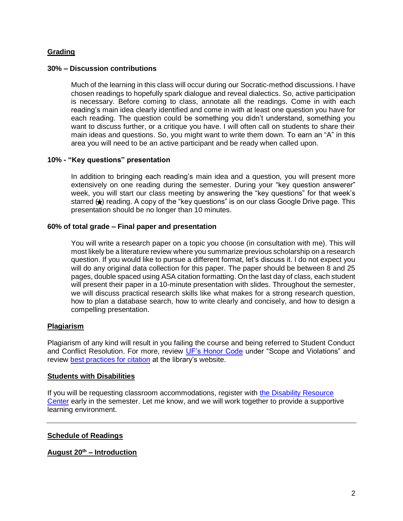# **Grading**

## **30% – Discussion contributions**

Much of the learning in this class will occur during our Socratic-method discussions. I have chosen readings to hopefully spark dialogue and reveal dialectics. So, active participation is necessary. Before coming to class, annotate all the readings. Come in with each reading's main idea clearly identified and come in with at least one question you have for each reading. The question could be something you didn't understand, something you want to discuss further, or a critique you have. I will often call on students to share their main ideas and questions. So, you might want to write them down. To earn an "A" in this area you will need to be an active participant and be ready when called upon.

## **10% - "Key questions" presentation**

In addition to bringing each reading's main idea and a question, you will present more extensively on one reading during the semester. During your "key question answerer" week, you will start our class meeting by answering the "key questions" for that week's starred  $\leftrightarrow$  reading. A copy of the "key questions" is on our class Google Drive page. This presentation should be no longer than 10 minutes.

## **60% of total grade – Final paper and presentation**

You will write a research paper on a topic you choose (in consultation with me). This will most likely be a literature review where you summarize previous scholarship on a research question. If you would like to pursue a different format, let's discuss it. I do not expect you will do any original data collection for this paper. The paper should be between 8 and 25 pages, double spaced using ASA citation formatting. On the last day of class, each student will present their paper in a 10-minute presentation with slides. Throughout the semester, we will discuss practical research skills like what makes for a strong research question, how to plan a database search, how to write clearly and concisely, and how to design a compelling presentation.

## **Plagiarism**

Plagiarism of any kind will result in you failing the course and being referred to Student Conduct and Conflict Resolution. For more, review [UF's Honor Code](https://sccr.dso.ufl.edu/policies/student-honor-code-student-conduct-code/) under "Scope and Violations" and review [best practices for citation](http://guides.uflib.ufl.edu/copyright/plagiarism) at the library's website.

## **Students with Disabilities**

If you will be requesting classroom accommodations, register with [the Disability Resource](http://www.dso.ufl.edu/drc/)  [Center](http://www.dso.ufl.edu/drc/) early in the semester. Let me know, and we will work together to provide a supportive learning environment.

## **Schedule of Readings**

## **August 20 th – Introduction**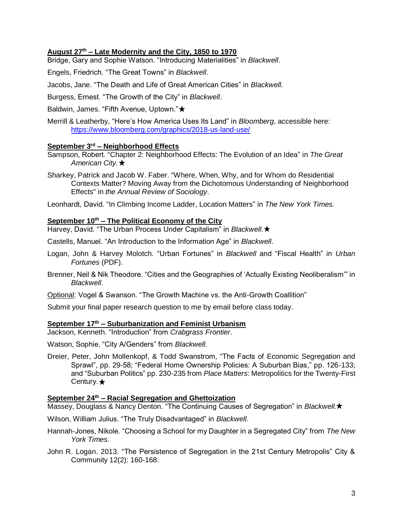# **August 27th – Late Modernity and the City, 1850 to 1970**

Bridge, Gary and Sophie Watson. "Introducing Materialities" in *Blackwell*.

Engels, Friedrich. "The Great Towns" in *Blackwell*.

Jacobs, Jane. "The Death and Life of Great American Cities" in *Blackwell.* 

Burgess, Ernest. "The Growth of the City" in *Blackwell*.

Baldwin, James. "Fifth Avenue, Uptown." ★

Merrill & Leatherby, "Here's How America Uses Its Land" in *Bloomberg*, accessible here: <https://www.bloomberg.com/graphics/2018-us-land-use/>

# **September 3rd – Neighborhood Effects**

Sampson, Robert. "Chapter 2: Neighborhood Effects: The Evolution of an Idea" in *The Great American City.* 

Sharkey, Patrick and Jacob W. Faber. "Where, When, Why, and for Whom do Residential Contexts Matter? Moving Away from the Dichotomous Understanding of Neighborhood Effects" in *the Annual Review of Sociology*.

Leonhardt, David. "In Climbing Income Ladder, Location Matters" in *The New York Times.* 

## **September 10th – The Political Economy of the City**

Harvey, David. "The Urban Process Under Capitalism" in *Blackwell.*

Castells, Manuel. "An Introduction to the Information Age" in *Blackwell*.

- Logan, John & Harvey Molotch. "Urban Fortunes" in *Blackwell* and "Fiscal Health" in *Urban Fortunes* (PDF).
- Brenner, Neil & Nik Theodore. "Cities and the Geographies of 'Actually Existing Neoliberalism'" in *Blackwell*.
- Optional: Vogel & Swanson. "The Growth Machine vs. the Anti-Growth Coallition"

Submit your final paper research question to me by email before class today.

### **September 17th – Suburbanization and Feminist Urbanism**

Jackson, Kenneth. "Introduction" from *Crabgrass Frontier*.

Watson, Sophie. "City A/Genders" from *Blackwell.* 

Dreier, Peter, John Mollenkopf, & Todd Swanstrom, "The Facts of Economic Segregation and Sprawl", pp. 29-58; "Federal Home Ownership Policies: A Suburban Bias," pp. 126-133; and "Suburban Politics" pp. 230-235 from *Place Matters*: Metropolitics for the Twenty-First Century. $\bigstar$ 

#### **September 24th – Racial Segregation and Ghettoization**

Massey, Douglass & Nancy Denton. "The Continuing Causes of Segregation" in *Blackwell.*

Wilson, William Julius. "The Truly Disadvantaged" in *Blackwell*.

- Hannah-Jones, Nikole. "Choosing a School for my Daughter in a Segregated City" from *The New York Times.*
- John R. Logan. 2013. "The Persistence of Segregation in the 21st Century Metropolis" City & Community 12(2): 160-168.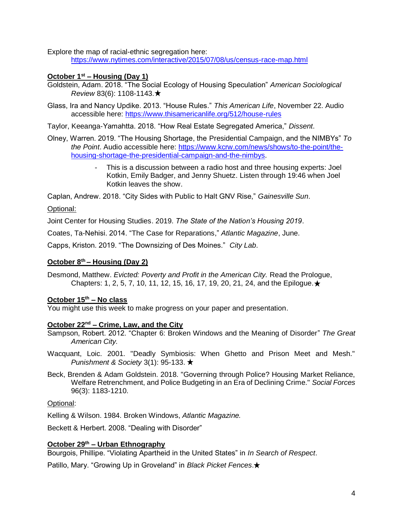Explore the map of racial-ethnic segregation here:

<https://www.nytimes.com/interactive/2015/07/08/us/census-race-map.html>

## **October 1st – Housing (Day 1)**

- Goldstein, Adam. 2018. "The Social Ecology of Housing Speculation" *American Sociological Review* 83(6): 1108-1143.
- Glass, Ira and Nancy Updike. 2013. "House Rules." *This American Life*, November 22. Audio accessible here:<https://www.thisamericanlife.org/512/house-rules>
- Taylor, Keeanga-Yamahtta. 2018. "How Real Estate Segregated America," *Dissent*.
- Olney, Warren. 2019. "The Housing Shortage, the Presidential Campaign, and the NIMBYs" *To the Point*. Audio accessible here: [https://www.kcrw.com/news/shows/to-the-point/the](https://www.kcrw.com/news/shows/to-the-point/the-housing-shortage-the-presidential-campaign-and-the-nimbys)[housing-shortage-the-presidential-campaign-and-the-nimbys.](https://www.kcrw.com/news/shows/to-the-point/the-housing-shortage-the-presidential-campaign-and-the-nimbys)
	- This is a discussion between a radio host and three housing experts: Joel Kotkin, Emily Badger, and Jenny Shuetz. Listen through 19:46 when Joel Kotkin leaves the show.

Caplan, Andrew. 2018. "City Sides with Public to Halt GNV Rise," *Gainesville Sun*.

# Optional:

Joint Center for Housing Studies. 2019. *The State of the Nation's Housing 2019*.

Coates, Ta-Nehisi. 2014. "The Case for Reparations," *Atlantic Magazine*, June.

Capps, Kriston. 2019. "The Downsizing of Des Moines." *City Lab*.

## **October 8th – Housing (Day 2)**

Desmond, Matthew. *Evicted: Poverty and Profit in the American City.* Read the Prologue, Chapters: 1, 2, 5, 7, 10, 11, 12, 15, 16, 17, 19, 20, 21, 24, and the Epiloque.  $\star$ 

## **October 15th – No class**

You might use this week to make progress on your paper and presentation.

## **October 22nd – Crime, Law, and the City**

- Sampson, Robert. 2012. "Chapter 6: Broken Windows and the Meaning of Disorder" *The Great American City.*
- Wacquant, Loic. 2001. "Deadly Symbiosis: When Ghetto and Prison Meet and Mesh." *Punishment & Society* 3(1): 95-133. ★
- Beck, Brenden & Adam Goldstein. 2018. "Governing through Police? Housing Market Reliance, Welfare Retrenchment, and Police Budgeting in an Era of Declining Crime." *Social Forces* 96(3): 1183-1210.

Optional:

Kelling & Wilson. 1984. Broken Windows, *Atlantic Magazine.* 

Beckett & Herbert. 2008. "Dealing with Disorder"

## **October 29th – Urban Ethnography**

Bourgois, Phillipe. "Violating Apartheid in the United States" in *In Search of Respect*.

Patillo, Mary. "Growing Up in Groveland" in *Black Picket Fences*.